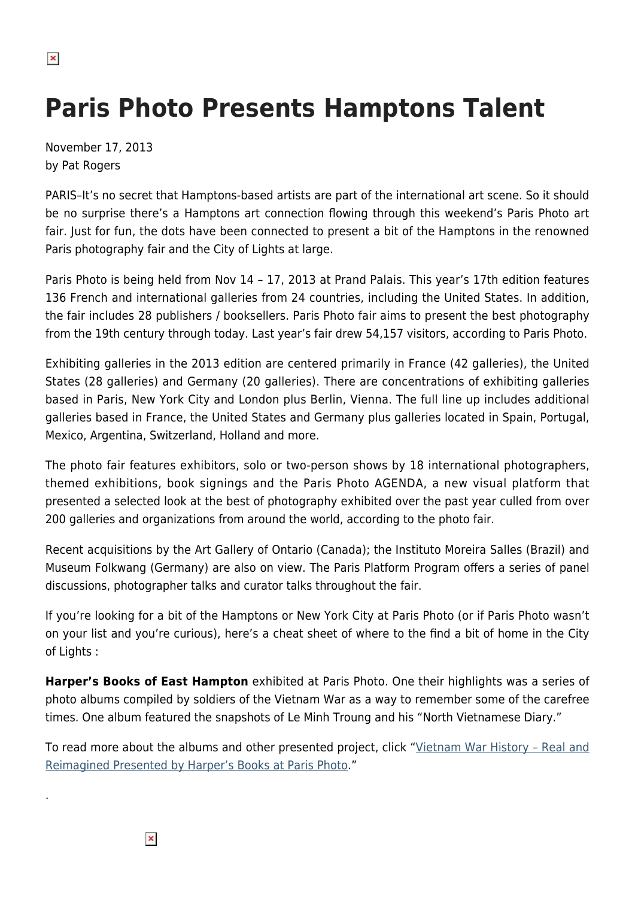## **Paris Photo Presents Hamptons Talent**

November 17, 2013 by Pat Rogers

PARIS–It's no secret that Hamptons-based artists are part of the international art scene. So it should be no surprise there's a Hamptons art connection flowing through this weekend's Paris Photo art fair. Just for fun, the dots have been connected to present a bit of the Hamptons in the renowned Paris photography fair and the City of Lights at large.

Paris Photo is being held from Nov 14 – 17, 2013 at Prand Palais. This year's 17th edition features 136 French and international galleries from 24 countries, including the United States. In addition, the fair includes 28 publishers / booksellers. Paris Photo fair aims to present the best photography from the 19th century through today. Last year's fair drew 54,157 visitors, according to Paris Photo.

Exhibiting galleries in the 2013 edition are centered primarily in France (42 galleries), the United States (28 galleries) and Germany (20 galleries). There are concentrations of exhibiting galleries based in Paris, New York City and London plus Berlin, Vienna. The full line up includes additional galleries based in France, the United States and Germany plus galleries located in Spain, Portugal, Mexico, Argentina, Switzerland, Holland and more.

The photo fair features exhibitors, solo or two-person shows by 18 international photographers, themed exhibitions, book signings and the Paris Photo AGENDA, a new visual platform that presented a selected look at the best of photography exhibited over the past year culled from over 200 galleries and organizations from around the world, according to the photo fair.

Recent acquisitions by the Art Gallery of Ontario (Canada); the Instituto Moreira Salles (Brazil) and Museum Folkwang (Germany) are also on view. The Paris Platform Program offers a series of panel discussions, photographer talks and curator talks throughout the fair.

If you're looking for a bit of the Hamptons or New York City at Paris Photo (or if Paris Photo wasn't on your list and you're curious), here's a cheat sheet of where to the find a bit of home in the City of Lights :

**Harper's Books of East Hampton** exhibited at Paris Photo. One their highlights was a series of photo albums compiled by soldiers of the Vietnam War as a way to remember some of the carefree times. One album featured the snapshots of Le Minh Troung and his "North Vietnamese Diary."

To read more about the albums and other presented project, click "[Vietnam War History – Real and](https://hamptonsarthub.com/2013/11/16/vietnam-war-history-real-and-reimagined-presented-by-harpers-books-at-paris-photo/) [Reimagined Presented by Harper's Books at Paris Photo](https://hamptonsarthub.com/2013/11/16/vietnam-war-history-real-and-reimagined-presented-by-harpers-books-at-paris-photo/)."

 $\pmb{\times}$ 

.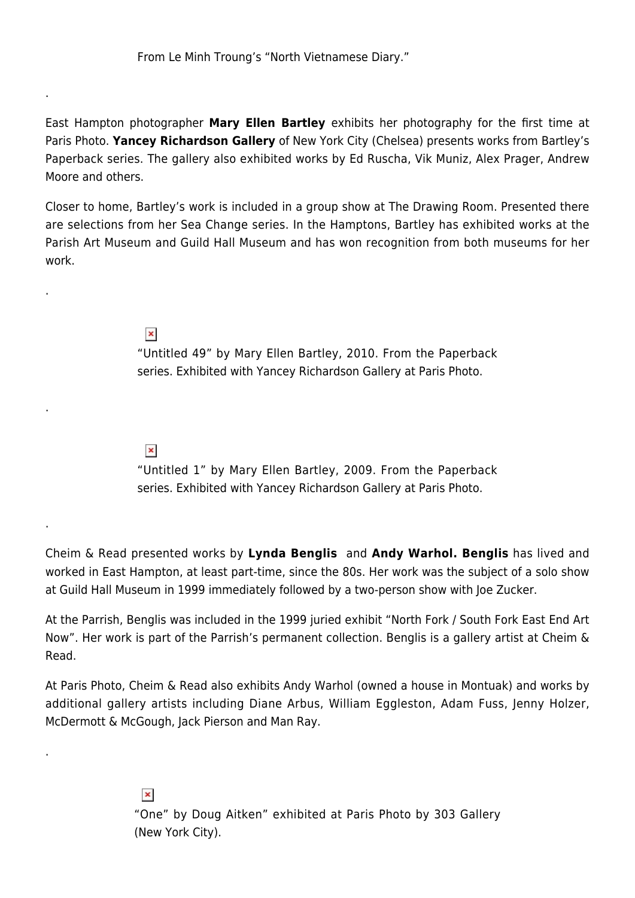East Hampton photographer **Mary Ellen Bartley** exhibits her photography for the first time at Paris Photo. **Yancey Richardson Gallery** of New York City (Chelsea) presents works from Bartley's Paperback series. The gallery also exhibited works by Ed Ruscha, Vik Muniz, Alex Prager, Andrew Moore and others.

Closer to home, Bartley's work is included in a group show at The Drawing Room. Presented there are selections from her Sea Change series. In the Hamptons, Bartley has exhibited works at the Parish Art Museum and Guild Hall Museum and has won recognition from both museums for her work.

> $\pmb{\times}$ "Untitled 49" by Mary Ellen Bartley, 2010. From the Paperback series. Exhibited with Yancey Richardson Gallery at Paris Photo.

## $\pmb{\times}$

.

.

.

.

.

"Untitled 1" by Mary Ellen Bartley, 2009. From the Paperback series. Exhibited with Yancey Richardson Gallery at Paris Photo.

Cheim & Read presented works by **Lynda Benglis** and **Andy Warhol. Benglis** has lived and worked in East Hampton, at least part-time, since the 80s. Her work was the subject of a solo show at Guild Hall Museum in 1999 immediately followed by a two-person show with Joe Zucker.

At the Parrish, Benglis was included in the 1999 juried exhibit "North Fork / South Fork East End Art Now". Her work is part of the Parrish's permanent collection. Benglis is a gallery artist at Cheim & Read.

At Paris Photo, Cheim & Read also exhibits Andy Warhol (owned a house in Montuak) and works by additional gallery artists including Diane Arbus, William Eggleston, Adam Fuss, Jenny Holzer, McDermott & McGough, Jack Pierson and Man Ray.